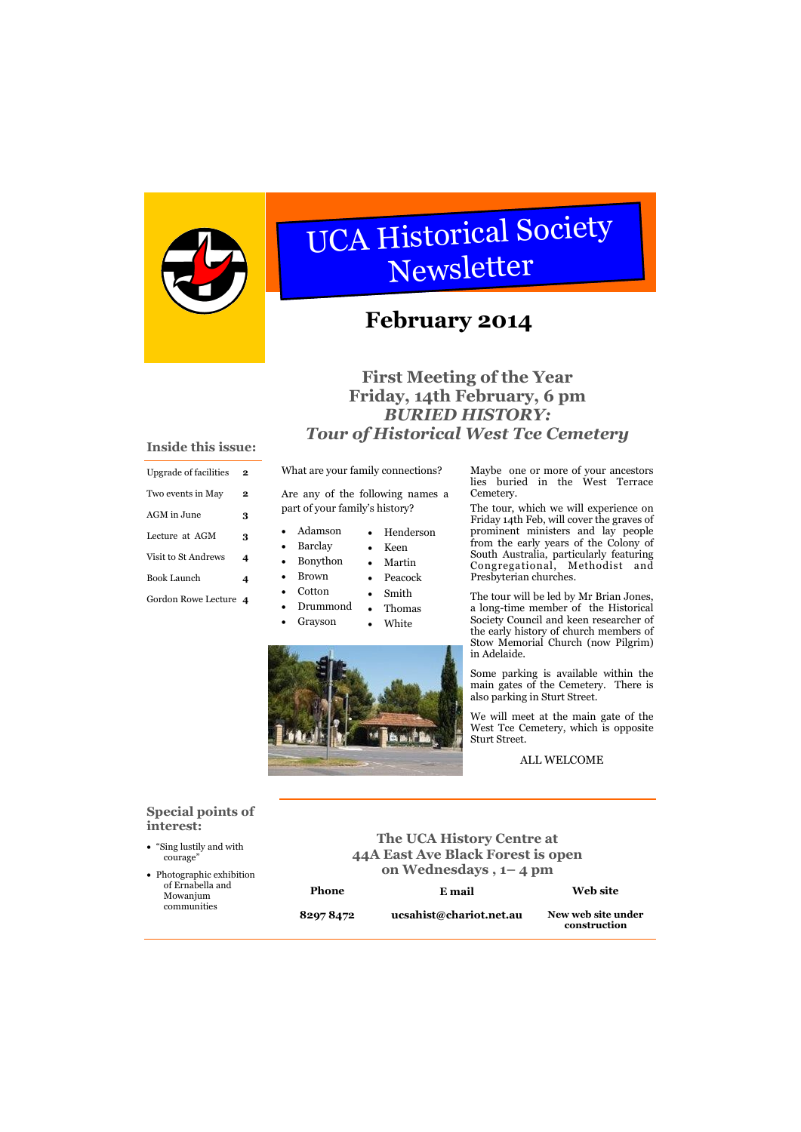What are your family connections?

 Adamson • Henderson

Are any of the following names a part of your family's history?

- Barclay
- Bonython
- Brown Peacock
	- Smith
- Drummond • Thomas
- Grayson

Cotton



## **Special points of interest:**

"Sing lustily and with

**The UCA History Centre at 44A East Ave Black Forest is open** 

| <b>Upgrade of facilities</b> | 2 |
|------------------------------|---|
| Two events in May            | 2 |
| AGM in June                  | 3 |
| Lecture at AGM               | 3 |
| Visit to St Andrews          | 4 |
| <b>Book Launch</b>           |   |
| Gordon Rowe Lecture          | 4 |

#### **Inside this issue:**

## **First Meeting of the Year Friday, 14th February, 6 pm** *BURIED HISTORY: Tour of Historical West Tce Cemetery*



# UCA Historical Society Newsletter

# **February 2014**

 Keen • Martin Maybe one or more of your ancestors lies buried in the West Terrace Cemetery.

| courage"<br>• Photographic exhibition |              | 44A East Ave black forest is open<br>on Wednesdays, 1-4 pm |                                    |
|---------------------------------------|--------------|------------------------------------------------------------|------------------------------------|
| of Ernabella and<br>Mowanjum          | <b>Phone</b> | E mail                                                     | <b>Web site</b>                    |
| communities                           | 82978472     | ucsahist@chariot.net.au                                    | New web site under<br>construction |

The tour, which we will experience on Friday 14th Feb, will cover the graves of prominent ministers and lay people from the early years of the Colony of South Australia, particularly featuring Congregational, Methodist and Presbyterian churches.

The tour will be led by Mr Brian Jones, a long-time member of the Historical Society Council and keen researcher of the early history of church members of Stow Memorial Church (now Pilgrim) in Adelaide.

Some parking is available within the main gates of the Cemetery. There is also parking in Sturt Street.

We will meet at the main gate of the West Tce Cemetery, which is opposite Sturt Street.

ALL WELCOME

White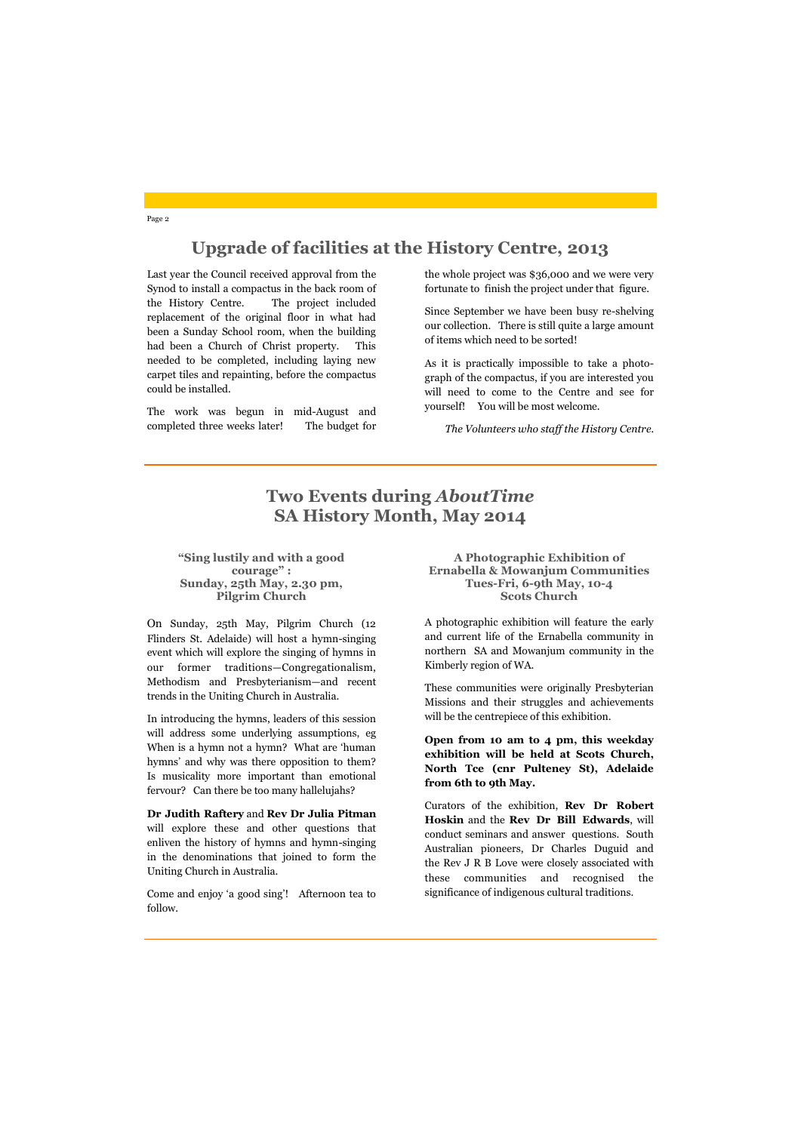## **Upgrade of facilities at the History Centre, 2013**

## **Two Events during** *AboutTime* **SA History Month, May 2014**

Page 2

**"Sing lustily and with a good courage" : Sunday, 25th May, 2.30 pm, Pilgrim Church**

On Sunday, 25th May, Pilgrim Church (12 Flinders St. Adelaide) will host a hymn-singing event which will explore the singing of hymns in our former traditions—Congregationalism, Methodism and Presbyterianism—and recent trends in the Uniting Church in Australia.

In introducing the hymns, leaders of this session will address some underlying assumptions, eg When is a hymn not a hymn? What are 'human hymns' and why was there opposition to them? Is musicality more important than emotional fervour? Can there be too many hallelujahs?

**Dr Judith Raftery** and **Rev Dr Julia Pitman** will explore these and other questions that enliven the history of hymns and hymn-singing in the denominations that joined to form the Uniting Church in Australia.

Come and enjoy 'a good sing'! Afternoon tea to follow.

Last year the Council received approval from the Synod to install a compactus in the back room of the History Centre. The project included replacement of the original floor in what had been a Sunday School room, when the building had been a Church of Christ property. This needed to be completed, including laying new carpet tiles and repainting, before the compactus could be installed.

The work was begun in mid-August and completed three weeks later! The budget for the whole project was \$36,000 and we were very fortunate to finish the project under that figure.

Since September we have been busy re-shelving our collection. There is still quite a large amount of items which need to be sorted!

As it is practically impossible to take a photograph of the compactus, if you are interested you will need to come to the Centre and see for yourself! You will be most welcome.

*The Volunteers who staff the History Centre.*

**A Photographic Exhibition of Ernabella & Mowanjum Communities Tues-Fri, 6-9th May, 10-4 Scots Church**

A photographic exhibition will feature the early and current life of the Ernabella community in northern SA and Mowanjum community in the Kimberly region of WA.

These communities were originally Presbyterian Missions and their struggles and achievements will be the centrepiece of this exhibition.

**Open from 10 am to 4 pm, this weekday exhibition will be held at Scots Church, North Tce (cnr Pulteney St), Adelaide from 6th to 9th May.**

Curators of the exhibition, **Rev Dr Robert Hoskin** and the **Rev Dr Bill Edwards**, will conduct seminars and answer questions. South Australian pioneers, Dr Charles Duguid and

the Rev J R B Love were closely associated with these communities and recognised the significance of indigenous cultural traditions.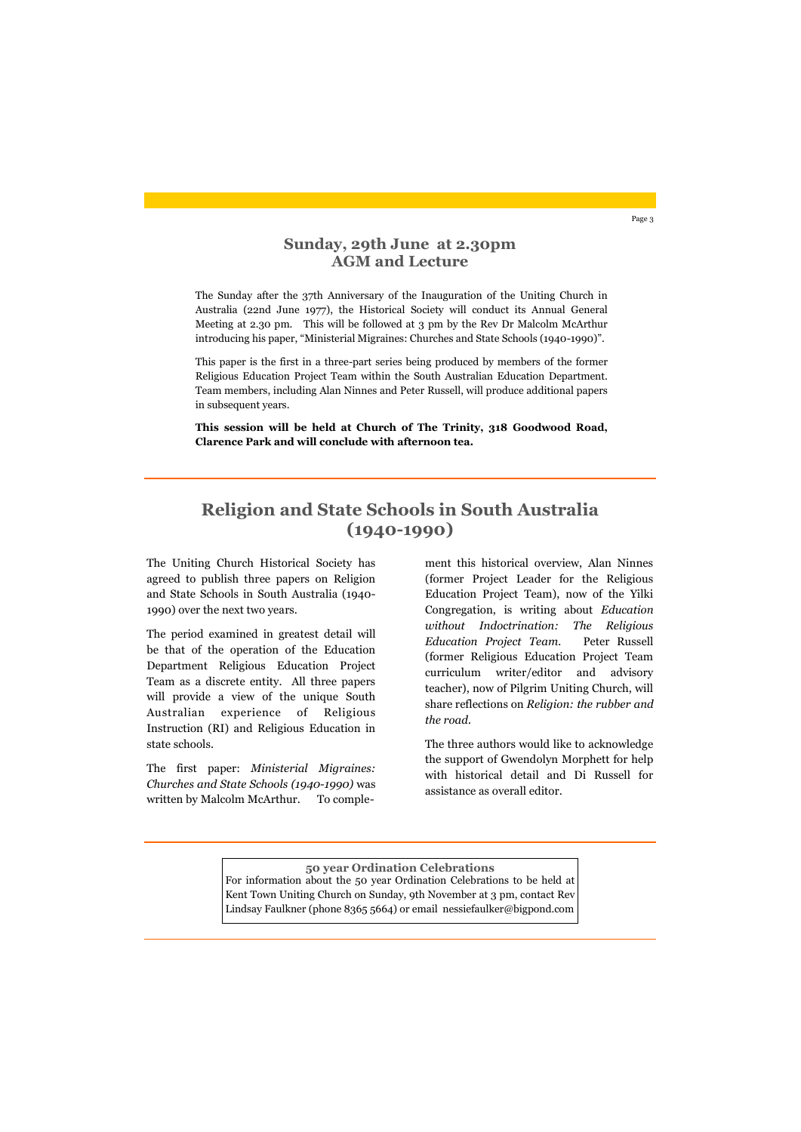## **Sunday, 29th June at 2.30pm AGM and Lecture**

The Uniting Church Historical Society has agreed to publish three papers on Religion and State Schools in South Australia (1940- 1990) over the next two years.

The first paper: *Ministerial Migraines: Churches and State Schools (1940-1990)* was written by Malcolm McArthur. To comple-

The period examined in greatest detail will be that of the operation of the Education Department Religious Education Project Team as a discrete entity. All three papers will provide a view of the unique South Australian experience of Religious Instruction (RI) and Religious Education in state schools.

## **Religion and State Schools in South Australia (1940-1990)**

Page 3

The Sunday after the 37th Anniversary of the Inauguration of the Uniting Church in Australia (22nd June 1977), the Historical Society will conduct its Annual General Meeting at 2.30 pm. This will be followed at 3 pm by the Rev Dr Malcolm McArthur introducing his paper, "Ministerial Migraines: Churches and State Schools (1940-1990)".

This paper is the first in a three-part series being produced by members of the former Religious Education Project Team within the South Australian Education Department. Team members, including Alan Ninnes and Peter Russell, will produce additional papers in subsequent years.

**This session will be held at Church of The Trinity, 318 Goodwood Road, Clarence Park and will conclude with afternoon tea.**

> ment this historical overview, Alan Ninnes (former Project Leader for the Religious Education Project Team), now of the Yilki Congregation, is writing about *Education without Indoctrination: The Religious Education Project Team.* Peter Russell (former Religious Education Project Team curriculum writer/editor and advisory teacher), now of Pilgrim Uniting Church, will share reflections on *Religion: the rubber and the road.*

> The three authors would like to acknowledge the support of Gwendolyn Morphett for help with historical detail and Di Russell for assistance as overall editor.

**50 year Ordination Celebrations** For information about the 50 year Ordination Celebrations to be held at Kent Town Uniting Church on Sunday, 9th November at 3 pm, contact Rev Lindsay Faulkner (phone 8365 5664) or email nessiefaulker@bigpond.com